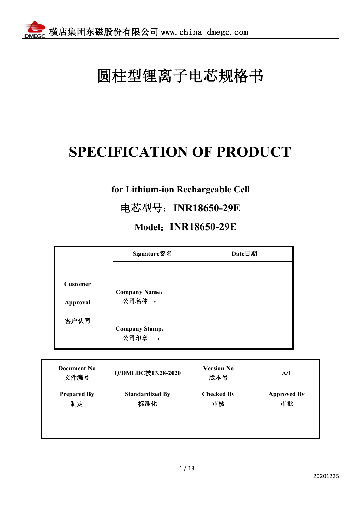# 圆柱型锂离子电芯规格书

## **SPECIFICATION OF PRODUCT**

### **for Lithium-ion Rechargeable Cell**

### 电芯型号:**INR18650-29E**

### **Model**:**INR18650-29E**

|                             | Signature签名                                           | Date日期 |
|-----------------------------|-------------------------------------------------------|--------|
|                             |                                                       |        |
| <b>Customer</b><br>Approval | <b>Company Name:</b><br>公司名称:                         |        |
| 客户认同                        | <b>Company Stamp:</b><br>公司印章<br>$\ddot{\phantom{1}}$ |        |

| <b>Document No</b><br>文件编号 | Q/DMLDC技03.28-2020            | <b>Version No</b><br>版本号 | A/1                      |  |
|----------------------------|-------------------------------|--------------------------|--------------------------|--|
| <b>Prepared By</b><br>制定   | <b>Standardized By</b><br>标准化 | <b>Checked By</b><br>审核  | <b>Approved By</b><br>审批 |  |
|                            |                               |                          |                          |  |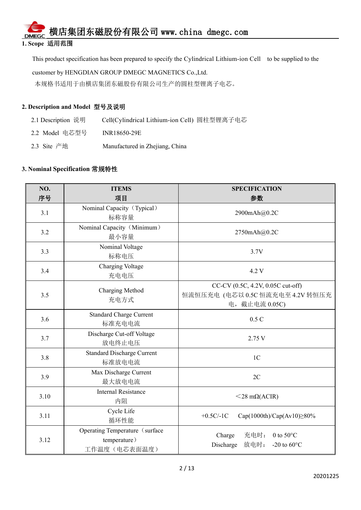#### **1. Scope** 适用范围

This product specification has been prepared to specify the Cylindrical Lithium-ion Cell to be supplied to the

customer by HENGDIAN GROUP DMEGC MAGNETICS Co.,Ltd.

本规格书适用于由横店集团东磁股份有限公司生产的圆柱型锂离子电芯。

#### **2. Description and Model** 型号及说明

- 2.1 Description 说明 Cell(Cylindrical Lithium-ion Cell) 圆柱型锂离子电芯
- 2.2 Model 电芯型号 INR18650-29E
- 2.3 Site 产地 Manufactured in Zhejiang, China

#### **3. Nominal Specification** 常规特性

| NO.  | <b>ITEMS</b>                                                   | <b>SPECIFICATION</b>                                                                    |  |
|------|----------------------------------------------------------------|-----------------------------------------------------------------------------------------|--|
| 序号   | 项目                                                             | 参数                                                                                      |  |
| 3.1  | Nominal Capacity (Typical)<br>标称容量                             | 2900mAh@0.2C                                                                            |  |
| 3.2  | Nominal Capacity (Minimum)<br>最小容量                             | 2750mAh@0.2C                                                                            |  |
| 3.3  | Nominal Voltage<br>标称电压                                        | 3.7V                                                                                    |  |
| 3.4  | Charging Voltage<br>充电电压                                       | 4.2 V                                                                                   |  |
| 3.5  | Charging Method<br>充电方式                                        | CC-CV (0.5C, 4.2V, 0.05C cut-off)<br>恒流恒压充电 (电芯以 0.5C 恒流充电至 4.2V 转恒压充<br>电, 截止电流 0.05C) |  |
| 3.6  | <b>Standard Charge Current</b><br>标准充电电流                       | 0.5C                                                                                    |  |
| 3.7  | Discharge Cut-off Voltage<br>放电终止电压                            | 2.75 V                                                                                  |  |
| 3.8  | <b>Standard Discharge Current</b><br>标准放电电流                    | 1 <sub>C</sub>                                                                          |  |
| 3.9  | Max Discharge Current<br>最大放电电流                                | 2C                                                                                      |  |
| 3.10 | <b>Internal Resistance</b><br>内阻                               | $<$ 28 m $\Omega$ (ACIR)                                                                |  |
| 3.11 | Cycle Life<br>循环性能                                             | $+0.5C/-1C$<br>$Cap(1000th)/Cap(Av10) \ge 80\%$                                         |  |
| 3.12 | Operating Temperature (surface<br>temperature)<br>工作温度(电芯表面温度) | Charge<br>充电时: 0 to 50°C<br>放电时:<br>Discharge<br>-20 to $60^{\circ}$ C                  |  |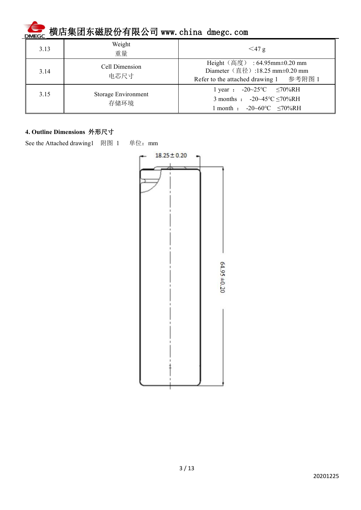| 3.13 | Weight<br>重量                | $\leq$ 47 g                                                                                                                      |
|------|-----------------------------|----------------------------------------------------------------------------------------------------------------------------------|
| 3.14 | Cell Dimension<br>电芯尺寸      | Height (高度) : 64.95mm±0.20 mm<br>Diameter (直径):18.25 mm±0.20 mm<br>Refer to the attached drawing 1 参考附图 1                        |
| 3.15 | Storage Environment<br>存储环境 | 1 year : $-20-25$ °C $\leq 70\%$ RH<br>3 months : $-20-45^{\circ}C \le 70\%RH$<br>month : $-20 \sim 60^{\circ}$ C $\leq 70\%$ RH |

#### **4. Outline Dimensions** 外形尺寸

See the Attached drawing1 附图 1 单位: mm

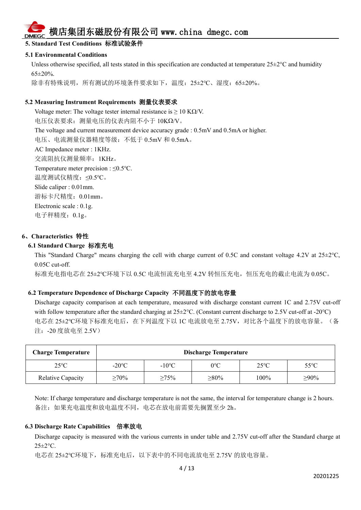#### **5. Standard Test Conditions** 标准试验条件

#### **5.1 Environmental Conditions**

Unless otherwise specified, all tests stated in this specification are conducted at temperature  $25\pm2\degree C$  and humidity 65±20%.

除非有特殊说明,所有测试的环境条件要求如下,温度: 25±2℃、湿度: 65±20%。

#### **5.2 Measuring Instrument Requirements** 测量仪表要求

Voltage meter: The voltage tester internal resistance is  $\geq 10$  KQ/V. 电压仪表要求: 测量电压的仪表内阻不小于 10ΚΩ/V。 The voltage and current measurement device accuracy grade : 0.5mV and 0.5mA or higher. 电压、电流测量仪器精度等级:不低于 0.5mV 和 0.5mA。 AC Impedance meter : 1KHz. 交流阻抗仪测量频率:1KHz。 Temperature meter precision : ≤0.5℃. 温度测试仪精度:≤0.5℃。 Slide caliper : 0.01mm. 游标卡尺精度:0.01mm。 Electronic scale : 0.1g. 电子秤精度:0.1g。

#### **6**、**Characteristics** 特性

#### **6.1 Standard Charge** 标准充电

This "Standard Charge" means charging the cell with charge current of 0.5C and constant voltage 4.2V at  $25\pm2^{\circ}$ C, 0.05C cut-off.

标准充电指电芯在 25±2℃环境下以 0.5C 电流恒流充电至 4.2V 转恒压充电, 恒压充电的截止电流为 0.05C。

#### **6.2 Temperature Dependence of Discharge Capacity** 不同温度下的放电容量

Discharge capacity comparison at each temperature, measured with discharge constant current 1C and 2.75V cut-off with follow temperature after the standard charging at  $25\pm2$ °C. (Constant current discharge to 2.5V cut-off at -20°C) 电芯在 25±2℃环境下标准充电后, 在下列温度下以 1C 电流放电至 2.75V, 对比各个温度下的放电容量。(备 注:-20 度放电至 2.5V)

| <b>Charge Temperature</b> | <b>Discharge Temperature</b> |                 |              |                |                |
|---------------------------|------------------------------|-----------------|--------------|----------------|----------------|
| $25^{\circ}$ C            | $-20^{\circ}$ C              | $-10^{\circ}$ C | $0^{\circ}C$ | $25^{\circ}$ C | $55^{\circ}$ C |
| Relative Capacity         | $\geq 70\%$                  | $\geq 75\%$     | $\geq 80\%$  | 100%           | $\geq 90\%$    |

Note: If charge temperature and discharge temperature is not the same, the interval for temperature change is 2 hours. 备注:如果充电温度和放电温度不同,电芯在放电前需要先搁置至少 2h。

#### **6.3 Discharge Rate Capabilities** 倍率放电

Discharge capacity is measured with the various currents in under table and 2.75V cut-off after the Standard charge at 25±2°C.

电芯在 25±2℃环境下,标准充电后,以下表中的不同电流放电至 2.75V 的放电容量。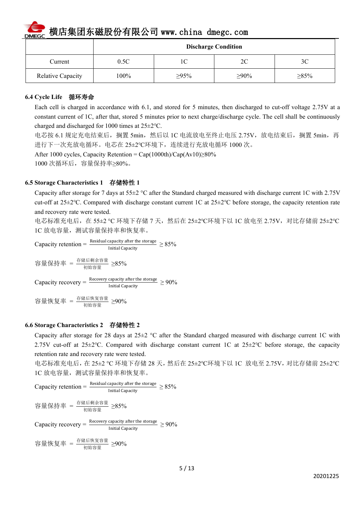

|                   |      |             | <b>Discharge Condition</b> |                |
|-------------------|------|-------------|----------------------------|----------------|
| Current           | 0.5C | $\sim$      | 2C                         | 3 <sup>C</sup> |
| Relative Capacity | 100% | $\geq 95\%$ | $\geq 90\%$                | $\geq 85\%$    |

#### **6.4 Cycle Life** 循环寿命

Each cell is charged in accordance with 6.1, and stored for 5 minutes, then discharged to cut-off voltage 2.75V at a constant current of 1C, after that, stored 5 minutes prior to next charge/discharge cycle. The cell shall be continuously charged and discharged for 1000 times at 25±2℃.

电芯按 6.1 规定充电结束后,搁置 5min,然后以 1C 电流放电至终止电压 2.75V, 放电结束后, 搁置 5min, 再 进行下一次充放电循环。电芯在 25±2℃环境下,连续进行充放电循环 1000 次。

After 1000 cycles, Capacity Retention = Cap(1000th)/Cap(Av10)≥80%

1000 次循环后,容量保持率≥80%。

#### **6.5 Storage Characteristics 1** 存储特性 **1**

Capacity after storage for 7 days at  $55\pm2$  °C after the Standard charged measured with discharge current 1C with 2.75V cut-off at 25±2℃. Compared with discharge constant current 1C at 25±2℃ before storage, the capacity retention rate and recovery rate were tested.

电芯标准充电后, 在 55±2 ℃ 环境下存储 7 天, 然后在 25±2℃环境下以 1C 放电至 2.75V, 对比存储前 25±2℃ 1C 放电容量,测试容量保持率和恢复率。

Capacity retention  $=$   $\frac{\text{Residual capacity}}{\text{Initial Gaussian}} \ge 85\%$  $\frac{20}{2}$  Initial Capacity  $\geq 85\%$ 

容量保持率 =  $\frac{ \bar{R}^{\dot{a}}$ 后剩余容量  $\geq$ 85%

Capacity recovery =  $\frac{\text{Recovery capacity after the storage}}{\text{Initial Capacity}} \ge 90\%$ Initial Capacity  $\geq 90\%$ 

容量恢复率 =  $\frac{ \bar{R}^{\dot{a}} \bar{b} \bar{c}^{\dot{b}} \bar{c}^{\dot{c}} \bar{c}^{\dot{c}} }{ \bar{a}^{\dot{b}} \bar{b}^{\dot{c}} \bar{c}^{\dot{c}} \bar{c}^{\dot{c}} } \geq$ 90%

#### **6.6 Storage Characteristics 2** 存储特性 **2**

Capacity after storage for 28 days at  $25\pm2$  °C after the Standard charged measured with discharge current 1C with 2.75V cut-off at 25±2°C. Compared with discharge constant current 1C at 25±2°C before storage, the capacity retention rate and recovery rate were tested.

电芯标准充电后,在 25±2 °C 环境下存储 28 天,然后在 25±2℃环境下以 1C 放电至 2.75V,对比存储前 25±2℃ 1C 放电容量,测试容量保持率和恢复率。

Capacity retention  $=$   $\frac{\text{Residual capacity}}{\text{Initial Gaussian}} \ge 85\%$  $\frac{1}{2}$  Exploring  $\geq 85\%$ 

容量保持率 =  $\frac{ \bar{R}^{\dot{a}} \bar{b} \bar{a}^{\dot{b}} \bar{b}^{\dot{c}} \bar{c}^{\dot{c}} \bar{c}^{\dot{c}} }{ \bar{v}^{\dot{b}} \bar{c}^{\dot{c}} \bar{c}^{\dot{c}} } \geq 85 \%$ 

Capacity recovery =  $\frac{\text{Recovery capacity after the storage}}{\text{Initial Capacity}} \ge 90\%$ Initial Capacity  $\geq 90\%$ 

容量恢复率 =  $\frac{ \bar{R}^{\text{f\'{a}}\text{f\'{b}}\text{K}} \mathcal{B}^{\text{S}^{\text{f\'{e}}}} }{ \eta \mathcal{B}^{\text{a}}\text{S}^{\text{f 2}} } \geq$ 90%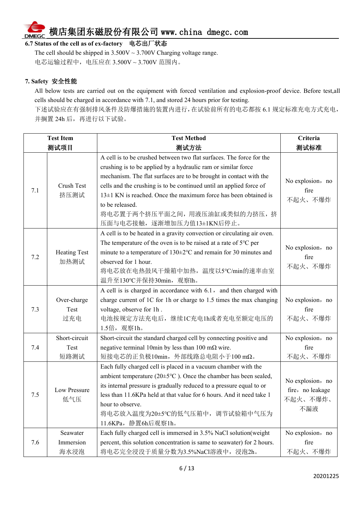#### 6.7 Status of the cell as of ex-factory 电芯出厂状态

The cell should be shipped in  $3.500V \sim 3.700V$  Charging voltage range. 电芯运输过程中,电压应在 3.500V ~ 3.700V 范围内。

#### **7. Safety** 安全性能

All below tests are carried out on the equipment with forced ventilation and explosion-proof device. Before test,all cells should be charged in accordance with 7.1, and stored 24 hours prior for testing.

下述试验应在有强制排风条件及防爆措施的装置内进行,在试验前所有的电芯都按 6.1 规定标准充电方式充电, 并搁置 24h 后,再进行以下试验。

|     | <b>Test Item</b>              | <b>Test Method</b>                                                                                                                                                                                                                                                                                                                                                                                                                        | Criteria                                                |
|-----|-------------------------------|-------------------------------------------------------------------------------------------------------------------------------------------------------------------------------------------------------------------------------------------------------------------------------------------------------------------------------------------------------------------------------------------------------------------------------------------|---------------------------------------------------------|
|     | 测试项目                          | 测试方法                                                                                                                                                                                                                                                                                                                                                                                                                                      | 测试标准                                                    |
| 7.1 | Crush Test<br>挤压测试            | A cell is to be crushed between two flat surfaces. The force for the<br>crushing is to be applied by a hydraulic ram or similar force<br>mechanism. The flat surfaces are to be brought in contact with the<br>cells and the crushing is to be continued until an applied force of<br>$13\pm1$ KN is reached. Once the maximum force has been obtained is<br>to be released.<br>将电芯置于两个挤压平面之间,用液压油缸或类似的力挤压,挤<br>压面与电芯接触,逐渐增加压力值13±1KN后停止。 | No explosion, no<br>fire<br>不起火、不爆炸                     |
| 7.2 | <b>Heating Test</b><br>加热测试   | A cell is to be heated in a gravity convection or circulating air oven.<br>The temperature of the oven is to be raised at a rate of $5^{\circ}$ C per<br>minute to a temperature of $130 \pm 2$ °C and remain for 30 minutes and<br>observed for 1 hour.<br>将电芯放在电热鼓风干燥箱中加热,温度以5℃/min的速率由室<br>温升至130℃并保持30min, 观察lh。                                                                                                                      | No explosion, no<br>fire<br>不起火、不爆炸                     |
| 7.3 | Over-charge<br>Test<br>过充电    | A cell is is charged in accordance with 6.1, and then charged with<br>charge current of 1C for 1h or charge to 1.5 times the max changing<br>voltage, observe for 1h.<br>电池按规定方法充电后,继续1C充电1h或者充电至额定电压的<br>1.5倍, 观察1h。                                                                                                                                                                                                                     | No explosion, no<br>fire<br>不起火、不爆炸                     |
| 7.4 | Short-circuit<br>Test<br>短路测试 | Short-circuit the standard charged cell by connecting positive and<br>negative terminal 10min by less than 100 m $\Omega$ wire.<br>短接电芯的正负极10min, 外部线路总电阻小于100 mΩ。                                                                                                                                                                                                                                                                        | No explosion, no<br>fire<br>不起火、不爆炸                     |
| 7.5 | Low Pressure<br>低气压           | Each fully charged cell is placed in a vacuum chamber with the<br>ambient temperature ( $20\pm5\text{°C}$ ). Once the chamber has been sealed,<br>its internal pressure is gradually reduced to a pressure equal to or<br>less than 11.6KPa held at that value for 6 hours. And it need take 1<br>hour to observe.<br>将电芯放入温度为20±5℃的低气压箱中, 调节试验箱中气压为<br>11.6KPa, 静置6h后观察1h。                                                               | No explosion, no<br>fire, no leakage<br>不起火、不爆炸、<br>不漏液 |
| 7.6 | Seawater<br>Immersion<br>海水浸泡 | Each fully charged cell is immersed in 3.5% NaCl solution (weight<br>percent, this solution concentration is same to seawater) for 2 hours.<br>将电芯完全浸没于质量分数为3.5%NaCl溶液中, 浸泡2h。                                                                                                                                                                                                                                                            | No explosion, no<br>fire<br>不起火、不爆炸                     |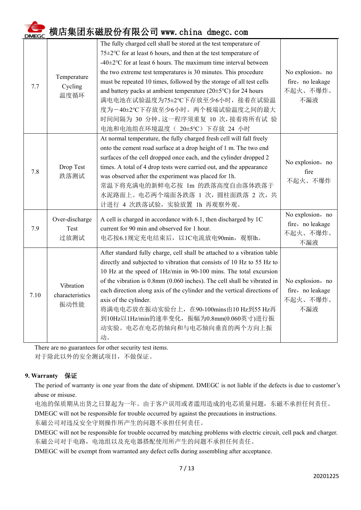| 7.7  | Temperature<br>Cycling<br>温度循环       | The fully charged cell shall be stored at the test temperature of<br>75±2°C for at least 6 hours, and then at the test temperature of<br>-40 $\pm$ 2°C for at least 6 hours. The maximum time interval between<br>the two extreme test temperatures is 30 minutes. This procedure<br>must be repeated 10 times, followed by the storage of all test cells<br>and battery packs at ambient temperature ( $20\pm5\textdegree C$ ) for 24 hours<br>满电电池在试验温度为75±2℃下存放至少6小时,接着在试验温<br>度为一40±2℃下存放至少6小时。两个极端试验温度之间的最大<br>时间间隔为 30 分钟。这一程序须重复 10 次,接着将所有试 验<br>电池和电池组在环境温度 ( 20±5℃) 下存放 24 小时 | No explosion, no<br>fire, no leakage<br>不起火、不爆炸、<br>不漏液 |
|------|--------------------------------------|-----------------------------------------------------------------------------------------------------------------------------------------------------------------------------------------------------------------------------------------------------------------------------------------------------------------------------------------------------------------------------------------------------------------------------------------------------------------------------------------------------------------------------------------------------------------------------------------|---------------------------------------------------------|
| 7.8  | Drop Test<br>跌落测试                    | At normal temperature, the fully charged fresh cell will fall freely<br>onto the cement road surface at a drop height of 1 m. The two end<br>surfaces of the cell dropped once each, and the cylinder dropped 2<br>times. A total of 4 drop tests were carried out, and the appearance<br>was observed after the experiment was placed for 1h.<br>常温下将充满电的新鲜电芯按 1m 的跌落高度自由落体跌落于<br>水泥路面上。电芯两个端面各跌落 1 次, 圆柱面跌落 2 次, 共<br>计进行 4 次跌落试验, 实验放置 1h 再观察外观。                                                                                                                                     | No explosion, no<br>fire<br>不起火、不爆炸                     |
| 7.9  | Over-discharge<br>Test<br>过放测试       | A cell is charged in accordance with 6.1, then discharged by 1C<br>current for 90 min and observed for 1 hour.<br>电芯按6.1规定充电结束后, 以1C电流放电90min, 观察lh。                                                                                                                                                                                                                                                                                                                                                                                                                                    | No explosion, no<br>fire, no leakage<br>不起火、不爆炸、<br>不漏液 |
| 7.10 | Vibration<br>characteristics<br>振动性能 | After standard fully charge, cell shall be attached to a vibration table<br>directly and subjected to vibration that consists of 10 Hz to 55 Hz to<br>10 Hz at the speed of 1Hz/min in 90-100 mins. The total excursion<br>of the vibration is 0.8mm (0.060 inches). The cell shall be vibrated in<br>each direction along axis of the cylinder and the vertical directions of<br>axis of the cylinder.<br>将满电电芯放在振动实验台上, 在90-100mins由10 Hz到55 Hz再<br>到10Hz以1Hz/min的速率变化, 振幅为0.8mm(0.060英寸)进行振<br>动实验。电芯在电芯的轴向和与电芯轴向垂直的两个方向上振<br>动。                                                     | No explosion, no<br>fire, no leakage<br>不起火、不爆炸、<br>不漏液 |

There are no guarantees for other security test items.

对于除此以外的安全测试项目,不做保证。

#### **9. Warranty** 保证

The period of warranty is one year from the date of shipment. DMEGC is not liable if the defects is due to customer's abuse or misuse.

电池的保质期从出货之日算起为一年。由于客户误用或者滥用造成的电芯质量问题,东磁不承担任何责任。

DMEGC will not be responsible for trouble occurred by against the precautions in instructions.

东磁公司对违反安全守则操作所产生的问题不承担任何责任。

DMEGC will not be responsible for trouble occurred by matching problems with electric circuit, cell pack and charger. 东磁公司对于电路,电池组以及充电器搭配使用所产生的问题不承担任何责任。

DMEGC will be exempt from warranted any defect cells during assembling after acceptance.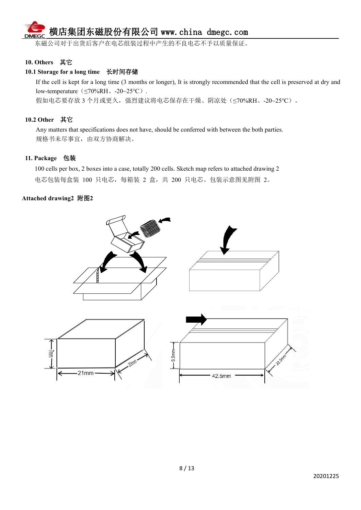----<br>东磁公司对于出货后客户在电芯组装过程中产生的不良电芯不予以质量保证。

#### **10. Others** 其它

#### **10.1 Storage for a long time** 长时间存储

If the cell is kept for a long time (3 months or longer), It is strongly recommended that the cell is preserved at dry and low-temperature (≤70%RH、-20~25°C). 假如电芯要存放 3 个月或更久, 强烈建议将电芯保存在干燥、阴凉处(≤70%RH、-20~25℃)。

#### **10.2 Other** 其它

Any matters that specifications does not have, should be conferred with between the both parties. 规格书未尽事宜,由双方协商解决。

#### **11. Package** 包装

100 cells per box, 2 boxes into a case, totally 200 cells. Sketch map refers to attached drawing 2 电芯包装每盒装 100 只电芯,每箱装 2 盒,共 200 只电芯。包装示意图见附图 2。

#### **Attached drawing2** 附图**2**

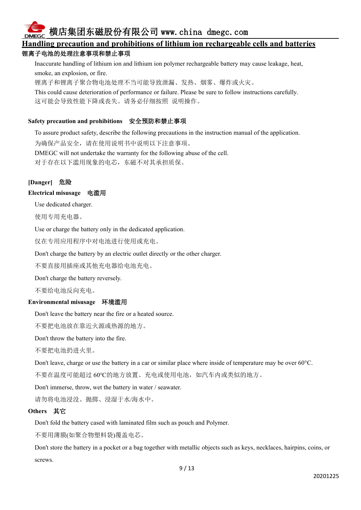#### **Handling precaution and prohibitions of lithium ion rechargeablecells and batteries** 锂离子电池的处理注意事项和禁止事项

Inaccurate handling of lithium ion and lithium ion polymer rechargeable battery may cause leakage, heat, smoke, an explosion, or fire.

锂离子和锂离子聚合物电池处理不当可能导致泄漏、发热、烟雾、爆炸或火灾。

This could cause deterioration of performance or failure. Please be sure to follow instructions carefully.这可能会导致性能下降或丧失。请务必仔细按照 说明操作。

#### **Safety precaution and prohibitions** 安全预防和禁止事项

To assure product safety, describe the following precautions in the instruction manual of the application.

为确保产品安全,请在使用说明书中说明以下注意事项。

DMEGC will not undertake the warranty for the following abuse of the cell.

对于存在以下滥用现象的电芯,东磁不对其承担质保。

#### **[Danger]** 危险

#### **Electrical misusage** 电滥用

Use dedicated charger.

使用专用充电器。

Use or charge the battery only in the dedicated application.

仅在专用应用程序中对电池进行使用或充电。

Don't charge the battery by an electric outlet directly or the other charger.

不要直接用插座或其他充电器给电池充电。

Don't charge the battery reversely.

不要给电池反向充电。

#### **Environmental misusage** 环境滥用

Don't leave the battery near the fire or a heated source.

不要把电池放在靠近火源或热源的地方。

Don't throw the battery into the fire.

不要把电池扔进火里。

Don't leave, charge or use the battery in a car or similar place where inside of temperature may be over 60°C.

不要在温度可能超过 60℃的地方放置、充电或使用电池,如汽车内或类似的地方。

Don't immerse, throw, wet the battery in water / seawater.

请勿将电池浸没、抛掷、浸湿于水/海水中。

#### **Others** 其它

Don't fold the battery cased with laminated film such as pouch and Polymer.

不要用薄膜(如聚合物塑料袋)覆盖电芯。

Don't store the battery in a pocket or a bag together with metallic objects such as keys, necklaces, hairpins, coins, or screws.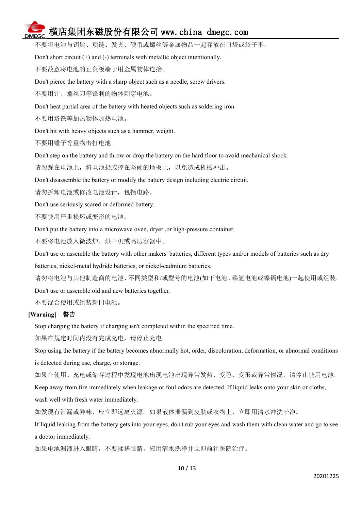不要将电池与钥匙、项链、发夹、硬币或螺丝等金属物品一起存放在口袋或袋子里。

Don't short circuit  $(+)$  and  $(-)$  terminals with metallic object intentionally.

不要故意将电池的正负极端子用金属物体连接。

Don't pierce the battery with a sharp object such as a needle, screw drivers.

不要用针、螺丝刀等锋利的物体刺穿电池。

Don't heat partial area of the battery with heated objects such as soldering iron.

不要用烙铁等加热物体加热电池。

Don't hit with heavy objects such as a hammer, weight.

不要用锤子等重物击打电池。

Don't step on the battery and throw or drop the battery on the hard floor to avoid mechanical shock.

请勿踩在电池上,将电池扔或摔在坚硬的地板上,以免造成机械冲击。

Don't disassemble the battery or modify the battery design including electric circuit.

请勿拆卸电池或修改电池设计,包括电路。

Don't use seriously scared or deformed battery.

不要使用严重损坏或变形的电池。

Don't put the battery into a microwave oven, dryer ,or high-pressure container.

不要将电池放入微波炉、烘干机或高压容器中。

Don't use or assemble the battery with other makers' batteries, different types and/or models of batteries such as dry batteries, nickel-metal hydride batteries, or nickel-cadmium batteries.

请勿将电池与其他制造商的电池、不同类型和/或型号的电池(如干电池、镍氢电池或镍镉电池)一起使用或组装。

Don't use or assemble old and new batteries together.

不要混合使用或组装新旧电池。

#### **[Warning]** 警告

Stop charging the battery if charging isn't completed within the specified time.

如果在规定时间内没有完成充电,请停止充电。

Stop using the battery if the battery becomes abnormally hot, order, discoloration, deformation, or abnormal conditions is detected during use, charge, or storage.

如果在使用、充电或储存过程中发现电池出现电池出现异常发热、变色、变形或异常情况,请停止使用电池。

Keep away from fire immediately when leakage or foul odors are detected. If liquid leaks onto your skin or cloths, wash well with fresh water immediately.

如发现有泄漏或异味,应立即远离火源。如果液体泄漏到皮肤或衣物上,立即用清水冲洗干净。

If liquid leaking from the battery gets into your eyes, don't rub your eyes and wash them with clean water and go to see a doctor immediately.

如果电池漏液进入眼睛,不要揉搓眼睛,应用清水洗净并立即前往医院治疗。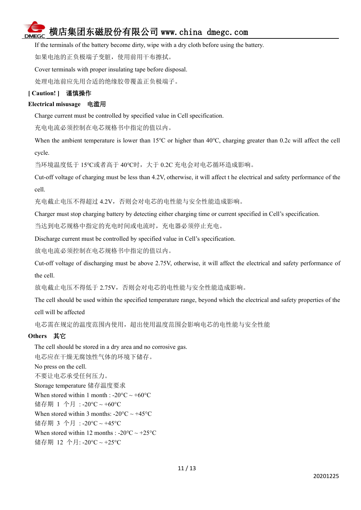

If the terminals of the battery become dirty, wipe with a dry cloth before using the battery.

如果电池的正负极端子变脏,使用前用干布擦拭。

Cover terminals with proper insulating tape before disposal.

处理电池前应先用合适的绝缘胶带覆盖正负极端子。

#### **[ Caution! ]** 谨慎操作

#### **Electrical misusage** 电滥用

Charge current must be controlled by specified value in Cell specification.

充电电流必须控制在电芯规格书中指定的值以内。

When the ambient temperature is lower than 15<sup>°</sup>C or higher than 40<sup>°</sup>C, charging greater than 0.2c will affect the cell cycle.

当环境温度低于 15℃或者高于 40℃时,大于 0.2C 充电会对电芯循环造成影响。

Cut-off voltage of charging must be less than 4.2V, otherwise, it will affect t he electrical and safety performance of the cell.

充电截止电压不得超过 4.2V,否则会对电芯的电性能与安全性能造成影响。

Charger must stop charging battery by detecting either charging time orcurrent specified in Cell's specification.

当达到电芯规格中指定的充电时间或电流时,充电器必须停止充电。

Discharge current must be controlled by specified value in Cell's specification.

放电电流必须控制在电芯规格书中指定的值以内。

Cut-off voltage of discharging must be above 2.75V, otherwise, it will affect the electrical and safety performance of the cell.

放电截止电压不得低于 2.75V,否则会对电芯的电性能与安全性能造成影响。

The cell should be used within the specified temperature range, beyond which the electrical and safety properties of the cell will be affected

电芯需在规定的温度范围内使用,超出使用温度范围会影响电芯的电性能与安全性能

#### **Others** 其它

The cell should be stored in a dry area and no corrosive gas. 电芯应在干燥无腐蚀性气体的环境下储存。 No press on the cell. 不要让电芯承受任何压力。 Storage temperature 储存温度要求 When stored within 1 month :  $-20^{\circ}C \sim +60^{\circ}C$ 储存期 1 个月 : -20°C ~ +60°C When stored within 3 months:  $-20^{\circ}$ C ~  $+45^{\circ}$ C 储存期 3 个月 : -20°C ~ +45°C When stored within 12 months : -20 $\textdegree$ C ~ +25 $\textdegree$ C 储存期 12 个月: -20°C ~ +25°C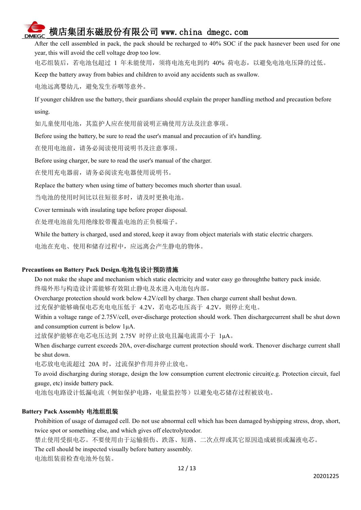After the cell assembled in pack, the pack should be recharged to 40% SOC if the pack hasnever been used for one year, this will avoid the cell voltage drop too low.

电芯组装后,若电池包超过 1 年未能使用,须将电池充电到约 40% 荷电态,以避免电池电压降的过低。

Keep the battery away from babies and children to avoid any accidents such as swallow.

电池远离婴幼儿,避免发生吞咽等意外。

If younger children use the battery, their guardians should explain the proper handling method and precaution before using.

如儿童使用电池,其监护人应在使用前说明正确使用方法及注意事项。

Before using the battery, be sure to read the user's manual and precaution of it's handling.

在使用电池前,请务必阅读使用说明书及注意事项。

Before using charger, be sure to read the user's manual of the charger.

在使用充电器前,请务必阅读充电器使用说明书。

Replace the battery when using time of battery becomes much shorter than usual.

当电池的使用时间比以往短很多时,请及时更换电池。

Cover terminals with insulating tape before proper disposal.

在处理电池前先用绝缘胶带覆盖电池的正负极端子。

While the battery is charged, used and stored, keep it away from object materials with static electric chargers.

电池在充电、使用和储存过程中,应远离会产生静电的物体。

#### **Precautions on Battery Pack Design.**电池包设计预防措施

Do not make the shape and mechanism which static electricity and water easy go throughthe battery pack inside. 终端外形与构造设计需能够有效阻止静电及水进入电池包内部。

Overcharge protection should work below 4.2V/cell by charge. Then charge current shall beshut down.

过充保护能够确保电芯充电电压低于 4.2V,若电芯电压高于 4.2V,则停止充电。

Within a voltage range of 2.75V/cell, over-discharge protection should work. Then dischargecurrent shall be shut down and consumption current is below 1μA.

过放保护能够在电芯电压达到 2.75V 时停止放电且漏电流需小于 1μA。

When discharge current exceeds 20A, over-discharge current protection should work. Thenover discharge current shall be shut down.

电芯放电电流超过 20A 时, 过流保护作用并停止放电。

To avoid discharging during storage, design the low consumption current electronic circuit(e.g. Protection circuit, fuel gauge, etc) inside battery pack.

电池包电路设计低漏电流(例如保护电路,电量监控等)以避免电芯储存过程被放电。

#### **Battery Pack Assembly** 电池组组装

Prohibition of usage of damaged cell. Do not use abnormal cell which has been damaged byshipping stress, drop, short, twice spot or something else, and which gives off electrolyteodor.

禁止使用受损电芯。不要使用由于运输损伤、跌落、短路、二次点焊或其它原因造成破损或漏液电芯。

The cell should be inspected visually before battery assembly.

电池组装前检查电池外包装。